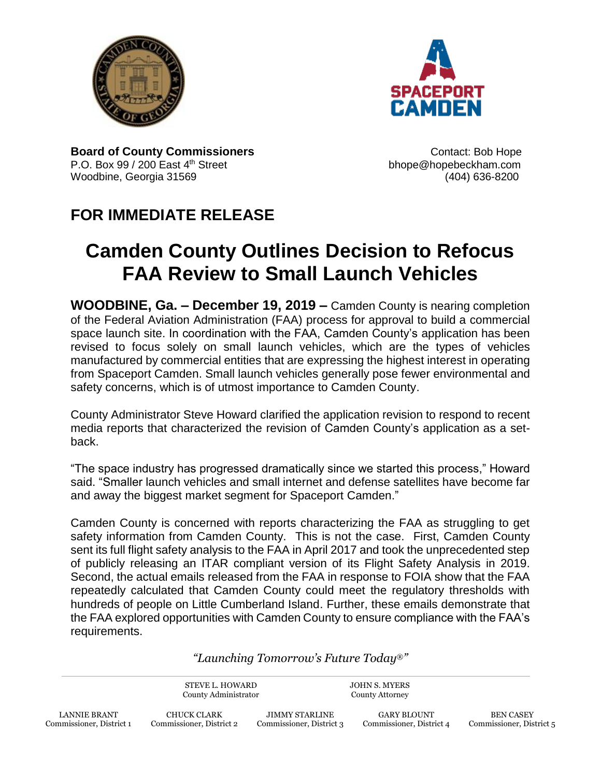



**Board of County Commissioners CONTER 1989 CONTER 1989 CONTER 1989 CONTER 1999 CONTER 1999** P.O. Box 99 / 200 East 4<sup>th</sup> Street bhope@hopebeckham.com Woodbine, Georgia 31569 (404) 636-8200

## **FOR IMMEDIATE RELEASE**

## **Camden County Outlines Decision to Refocus FAA Review to Small Launch Vehicles**

**WOODBINE, Ga. – December 19, 2019 –** Camden County is nearing completion of the Federal Aviation Administration (FAA) process for approval to build a commercial space launch site. In coordination with the FAA, Camden County's application has been revised to focus solely on small launch vehicles, which are the types of vehicles manufactured by commercial entities that are expressing the highest interest in operating from Spaceport Camden. Small launch vehicles generally pose fewer environmental and safety concerns, which is of utmost importance to Camden County.

County Administrator Steve Howard clarified the application revision to respond to recent media reports that characterized the revision of Camden County's application as a setback.

"The space industry has progressed dramatically since we started this process," Howard said. "Smaller launch vehicles and small internet and defense satellites have become far and away the biggest market segment for Spaceport Camden."

Camden County is concerned with reports characterizing the FAA as struggling to get safety information from Camden County. This is not the case. First, Camden County sent its full flight safety analysis to the FAA in April 2017 and took the unprecedented step of publicly releasing an ITAR compliant version of its Flight Safety Analysis in 2019. Second, the actual emails released from the FAA in response to FOIA show that the FAA repeatedly calculated that Camden County could meet the regulatory thresholds with hundreds of people on Little Cumberland Island. Further, these emails demonstrate that the FAA explored opportunities with Camden County to ensure compliance with the FAA's requirements.

## *"Launching Tomorrow's Future Today*®*"*

STEVE L. HOWARD County Administrator

JOHN S. MYERS County Attorney

JIMMY STARLINE Commissioner, District 3

GARY BLOUNT Commissioner, District 4

BEN CASEY Commissioner, District 5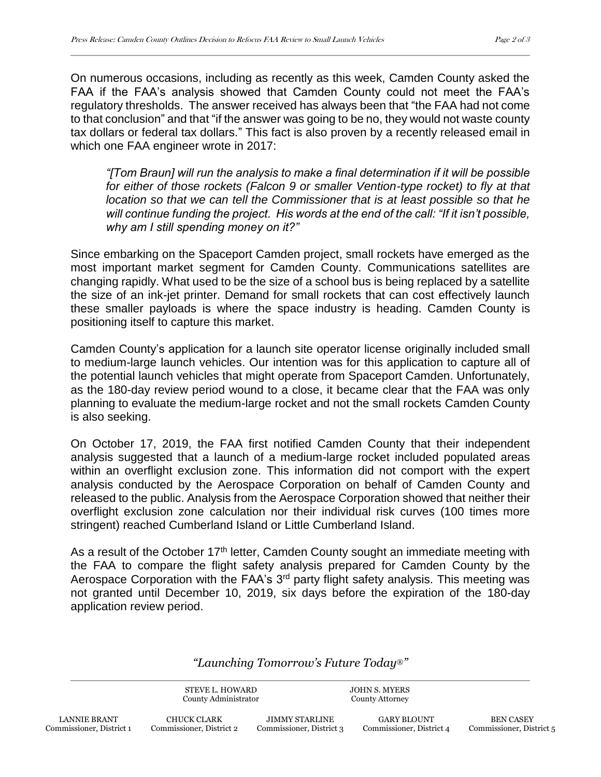On numerous occasions, including as recently as this week, Camden County asked the FAA if the FAA's analysis showed that Camden County could not meet the FAA's regulatory thresholds. The answer received has always been that "the FAA had not come to that conclusion" and that "if the answer was going to be no, they would not waste county tax dollars or federal tax dollars." This fact is also proven by a recently released email in which one FAA engineer wrote in 2017:

*"[Tom Braun] will run the analysis to make a final determination if it will be possible for either of those rockets (Falcon 9 or smaller Vention-type rocket) to fly at that location so that we can tell the Commissioner that is at least possible so that he will continue funding the project. His words at the end of the call: "If it isn't possible, why am I still spending money on it?"*

Since embarking on the Spaceport Camden project, small rockets have emerged as the most important market segment for Camden County. Communications satellites are changing rapidly. What used to be the size of a school bus is being replaced by a satellite the size of an ink-jet printer. Demand for small rockets that can cost effectively launch these smaller payloads is where the space industry is heading. Camden County is positioning itself to capture this market.

Camden County's application for a launch site operator license originally included small to medium-large launch vehicles. Our intention was for this application to capture all of the potential launch vehicles that might operate from Spaceport Camden. Unfortunately, as the 180-day review period wound to a close, it became clear that the FAA was only planning to evaluate the medium-large rocket and not the small rockets Camden County is also seeking.

On October 17, 2019, the FAA first notified Camden County that their independent analysis suggested that a launch of a medium-large rocket included populated areas within an overflight exclusion zone. This information did not comport with the expert analysis conducted by the Aerospace Corporation on behalf of Camden County and released to the public. Analysis from the Aerospace Corporation showed that neither their overflight exclusion zone calculation nor their individual risk curves (100 times more stringent) reached Cumberland Island or Little Cumberland Island.

As a result of the October  $17<sup>th</sup>$  letter, Camden County sought an immediate meeting with the FAA to compare the flight safety analysis prepared for Camden County by the Aerospace Corporation with the FAA's 3<sup>rd</sup> party flight safety analysis. This meeting was not granted until December 10, 2019, six days before the expiration of the 180-day application review period.

*"Launching Tomorrow's Future Today*®*"*

STEVE L. HOWARD County Administrator JOHN S. MYERS County Attorney

CHUCK CLARK Commissioner, District 2

JIMMY STARLINE Commissioner, District 3

GARY BLOUNT Commissioner, District 4